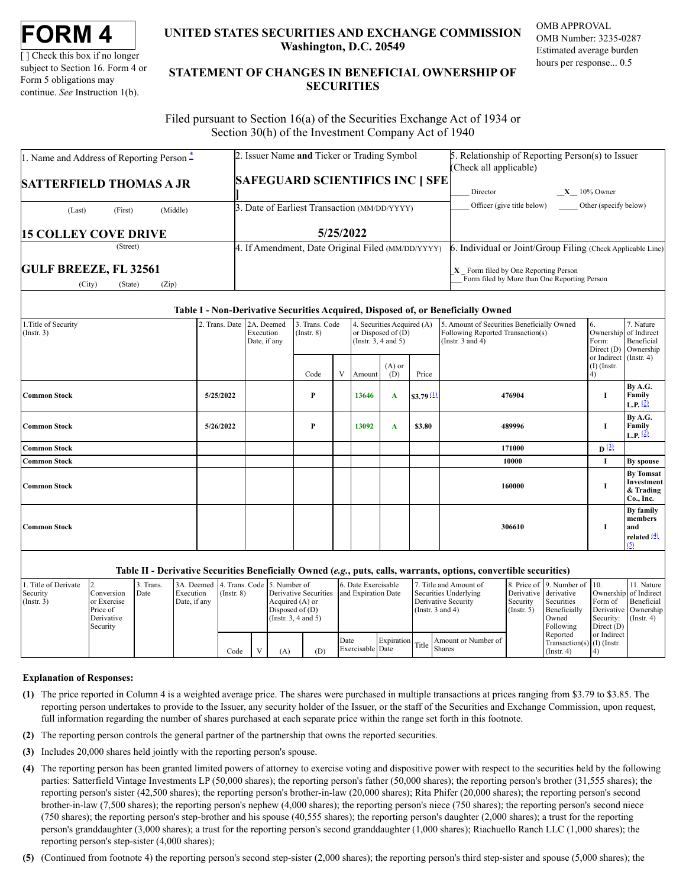[ ] Check this box if no longer subject to Section 16. Form 4 or Form 5 obligations may continue. *See* Instruction 1(b).

## **UNITED STATES SECURITIES AND EXCHANGE COMMISSION Washington, D.C. 20549**

OMB APPROVAL OMB Number: 3235-0287 Estimated average burden hours per response... 0.5

# **STATEMENT OF CHANGES IN BENEFICIAL OWNERSHIP OF SECURITIES**

Filed pursuant to Section 16(a) of the Securities Exchange Act of 1934 or Section 30(h) of the Investment Company Act of 1940

| 1. Name and Address of Reporting Person $\ddot{=}$         | 2. Issuer Name and Ticker or Trading Symbol       | 5. Relationship of Reporting Person(s) to Issuer<br>(Check all applicable)             |  |  |  |
|------------------------------------------------------------|---------------------------------------------------|----------------------------------------------------------------------------------------|--|--|--|
| <b>SATTERFIELD THOMAS A JR</b>                             | <b>SAFEGUARD SCIENTIFICS INC   SFE</b>            | $X = 10\%$ Owner<br>Director                                                           |  |  |  |
| (Middle)<br>(First)<br>(Last)                              | 3. Date of Earliest Transaction (MM/DD/YYYY)      | Officer (give title below)<br>Other (specify below)                                    |  |  |  |
| <b>15 COLLEY COVE DRIVE</b>                                | 5/25/2022                                         |                                                                                        |  |  |  |
| (Street)                                                   | 4. If Amendment, Date Original Filed (MM/DD/YYYY) | 6. Individual or Joint/Group Filing (Check Applicable Line)                            |  |  |  |
| <b>GULF BREEZE, FL 32561</b><br>(City)<br>(Zip)<br>(State) |                                                   | $X$ Form filed by One Reporting Person<br>Form filed by More than One Reporting Person |  |  |  |

### **Table I - Non-Derivative Securities Acquired, Disposed of, or Beneficially Owned**

| 1. Title of Security<br>$($ Instr. 3) | 2. Trans. Date 2A. Deemed | Execution<br>Date, if any | 3. Trans. Code<br>$($ Instr. $8)$ |   | 4. Securities Acquired (A)<br>or Disposed of (D)<br>(Instr. $3, 4$ and $5$ ) |                 |              | 5. Amount of Securities Beneficially Owned<br>Following Reported Transaction(s)<br>(Instr. $3$ and $4$ ) | 6.<br>Ownership of Indirect<br>Form:<br>Direct $(D)$<br>or Indirect (Instr. 4) | 7. Nature<br>Beneficial<br>Ownership                          |
|---------------------------------------|---------------------------|---------------------------|-----------------------------------|---|------------------------------------------------------------------------------|-----------------|--------------|----------------------------------------------------------------------------------------------------------|--------------------------------------------------------------------------------|---------------------------------------------------------------|
|                                       |                           |                           | Code                              | V | Amount                                                                       | $(A)$ or<br>(D) | Price        |                                                                                                          | $(I)$ (Instr.<br>(4)                                                           |                                                               |
| <b>Common Stock</b>                   | 5/25/2022                 |                           | P                                 |   | 13646                                                                        | A               | \$3.79 $(1)$ | 476904                                                                                                   | 1                                                                              | By A.G.<br>Family<br>L.P. $(2)$                               |
| <b>Common Stock</b>                   | 5/26/2022                 |                           | P                                 |   | 13092                                                                        | A               | \$3.80       | 489996                                                                                                   | 1                                                                              | By A.G.<br>Family<br><b>L.P.</b> $\frac{(2)}{2}$              |
| <b>Common Stock</b>                   |                           |                           |                                   |   |                                                                              |                 |              | 171000                                                                                                   | $\mathbf{D}^{(3)}$                                                             |                                                               |
| <b>Common Stock</b>                   |                           |                           |                                   |   |                                                                              |                 |              | 10000                                                                                                    | Ι.                                                                             | By spouse                                                     |
| <b>Common Stock</b>                   |                           |                           |                                   |   |                                                                              |                 |              | 160000                                                                                                   | 1                                                                              | <b>By Tomsat</b><br>Investment<br>& Trading<br>Co., Inc.      |
| <b>Common Stock</b>                   |                           |                           |                                   |   |                                                                              |                 |              | 306610                                                                                                   | 1                                                                              | By family<br>members<br>and<br>related $\frac{(4)}{2}$<br>(5) |

### **Table II - Derivative Securities Beneficially Owned (***e.g.***, puts, calls, warrants, options, convertible securities)**

| Title of Derivate |              | . Trans. | 3A. Deemed 4. Trans. Code 5. Number of |                 |                       |     | 6. Date Exercisable |  | . Title and Amount of                            |                       | 8. Price of 19. Number of 10. |                       | 11. Nature       |
|-------------------|--------------|----------|----------------------------------------|-----------------|-----------------------|-----|---------------------|--|--------------------------------------------------|-----------------------|-------------------------------|-----------------------|------------------|
| Security          | Conversion   | Date     | Execution                              | $($ Instr. $8)$ | Derivative Securities |     | and Expiration Date |  | Securities Underlying                            | Derivative derivative |                               | Ownership of Indirect |                  |
| $($ Instr. 3)     | lor Exercise |          | Date, if any                           |                 | Acquired (A) or       |     |                     |  | Derivative Security                              | Security              | Securities                    | Form of               | Beneficial       |
|                   | Price of     |          |                                        |                 | Disposed of $(D)$     |     |                     |  | (Instr. $3$ and $4$ )                            | $($ Instr. 5 $)$      | Beneficially                  | Derivative Ownership  |                  |
|                   | Derivative   |          |                                        |                 | (Instr. 3, 4 and 5)   |     |                     |  |                                                  |                       | Owned                         | Security:             | $($ Instr. 4 $)$ |
|                   | l Security   |          |                                        |                 |                       |     |                     |  |                                                  |                       | Following                     | Direct (D)            |                  |
|                   |              |          |                                        |                 |                       |     |                     |  |                                                  |                       | Reported                      | or Indirect           |                  |
|                   |              |          |                                        |                 |                       |     | Date                |  | Amount or Number of 1<br>Expiration Title Shares |                       | Transaction(s) $(I)$ (Instr.  |                       |                  |
|                   |              |          |                                        | Code            | (A)                   | (D) | Exercisable Date    |  |                                                  |                       | $($ Instr. 4 $)$              |                       |                  |

#### **Explanation of Responses:**

- <span id="page-0-0"></span>**(1)** The price reported in Column 4 is a weighted average price. The shares were purchased in multiple transactions at prices ranging from \$3.79 to \$3.85. The reporting person undertakes to provide to the Issuer, any security holder of the Issuer, or the staff of the Securities and Exchange Commission, upon request, full information regarding the number of shares purchased at each separate price within the range set forth in this footnote.
- <span id="page-0-1"></span>**(2)** The reporting person controls the general partner of the partnership that owns the reported securities.
- <span id="page-0-2"></span>**(3)** Includes 20,000 shares held jointly with the reporting person's spouse.
- <span id="page-0-3"></span>**(4)** The reporting person has been granted limited powers of attorney to exercise voting and dispositive power with respect to the securities held by the following parties: Satterfield Vintage Investments LP (50,000 shares); the reporting person's father (50,000 shares); the reporting person's brother (31,555 shares); the reporting person's sister (42,500 shares); the reporting person's brother-in-law (20,000 shares); Rita Phifer (20,000 shares); the reporting person's second brother-in-law (7,500 shares); the reporting person's nephew (4,000 shares); the reporting person's niece (750 shares); the reporting person's second niece (750 shares); the reporting person's step-brother and his spouse (40,555 shares); the reporting person's daughter (2,000 shares); a trust for the reporting person's granddaughter (3,000 shares); a trust for the reporting person's second granddaughter (1,000 shares); Riachuello Ranch LLC (1,000 shares); the reporting person's step-sister (4,000 shares);

<span id="page-0-4"></span>**(5)** (Continued from footnote 4) the reporting person's second step-sister (2,000 shares); the reporting person's third step-sister and spouse (5,000 shares); the